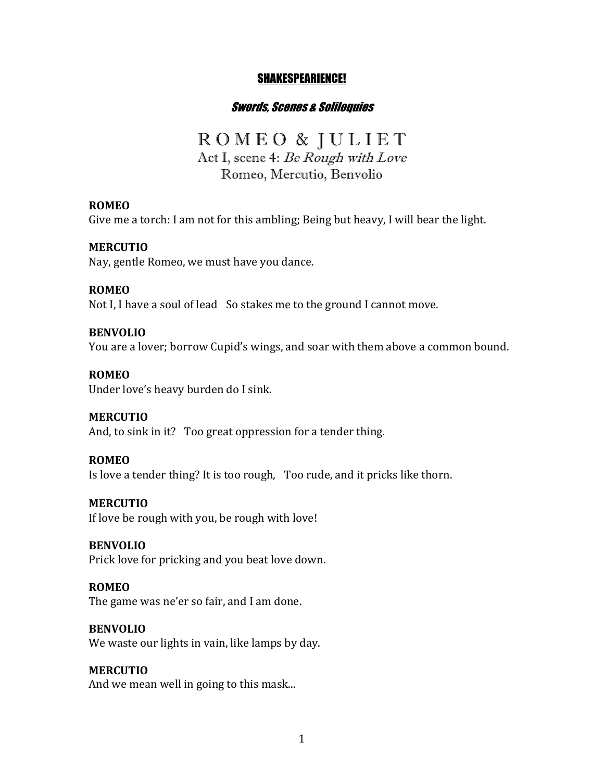## SHAKESPEARIENCE!

### Swords, Scenes & Soliloquies

# R O M E O & J U L I E T

Act I, scene 4: Be Rough with Love Romeo, Mercutio, Benvolio

#### **ROMEO**

Give me a torch: I am not for this ambling; Being but heavy, I will bear the light.

#### **MERCUTIO**

Nay, gentle Romeo, we must have you dance.

#### **ROMEO**

Not I, I have a soul of lead So stakes me to the ground I cannot move.

#### **BENVOLIO**

You are a lover; borrow Cupid's wings, and soar with them above a common bound.

#### **ROMEO**

Under love's heavy burden do I sink.

#### **MERCUTIO**

And, to sink in it? Too great oppression for a tender thing.

#### **ROMEO**

Is love a tender thing? It is too rough, Too rude, and it pricks like thorn.

#### **MERCUTIO**

If love be rough with you, be rough with love!

#### **BENVOLIO**

Prick love for pricking and you beat love down.

### **ROMEO**

The game was ne'er so fair, and I am done.

## **BENVOLIO**

We waste our lights in vain, like lamps by day.

## **MERCUTIO**

And we mean well in going to this mask...